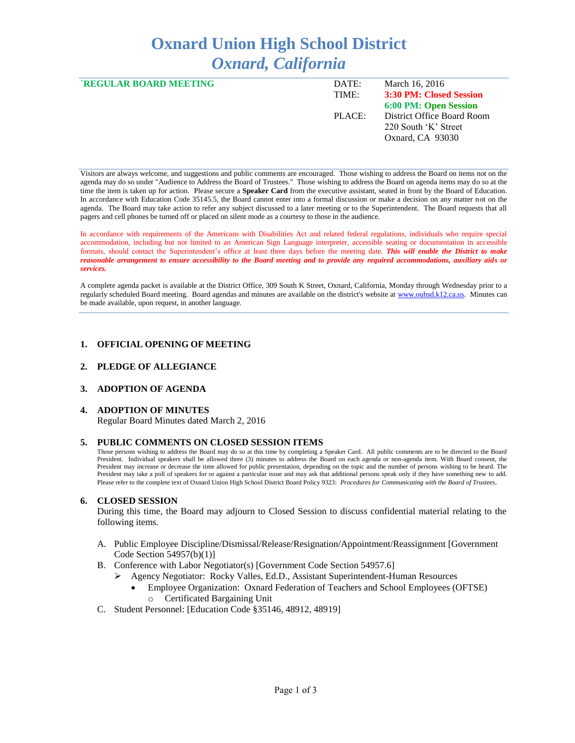# **Oxnard Union High School District** *Oxnard, California*

| <b>`REGULAR BOARD MEETING</b> | DATE:<br>TIME: | March 16, 2016<br>3:30 PM: Closed Session                              |
|-------------------------------|----------------|------------------------------------------------------------------------|
|                               |                | 6:00 PM: Open Session                                                  |
|                               | PLACE:         | District Office Board Room<br>220 South 'K' Street<br>Oxnard, CA 93030 |

Visitors are always welcome, and suggestions and public comments are encouraged. Those wishing to address the Board on items not on the agenda may do so under "Audience to Address the Board of Trustees." Those wishing to address the Board on agenda items may do so at the time the item is taken up for action. Please secure a **Speaker Card** from the executive assistant, seated in front by the Board of Education. In accordance with Education Code 35145.5, the Board cannot enter into a formal discussion or make a decision on any matter not on the agenda. The Board may take action to refer any subject discussed to a later meeting or to the Superintendent. The Board requests that all pagers and cell phones be turned off or placed on silent mode as a courtesy to those in the audience.

In accordance with requirements of the Americans with Disabilities Act and related federal regulations, individuals who require special accommodation, including but not limited to an American Sign Language interpreter, accessible seating or documentation in accessible formats, should contact the Superintendent's office at least three days before the meeting date. *This will enable the District to make reasonable arrangement to ensure accessibility to the Board meeting and to provide any required accommodations, auxiliary aids or services.* 

A complete agenda packet is available at the District Office, 309 South K Street, Oxnard, California, Monday through Wednesday prior to a regularly scheduled Board meeting. Board agendas and minutes are available on the district's website a[t www.ouhsd.k12.ca.us.](http://www.ouhsd.k12.ca.us/)Minutes can be made available, upon request, in another language.

## **1. OFFICIAL OPENING OF MEETING**

## **2. PLEDGE OF ALLEGIANCE**

#### **3. ADOPTION OF AGENDA**

#### **4. ADOPTION OF MINUTES**

Regular Board Minutes dated March 2, 2016

#### **5. PUBLIC COMMENTS ON CLOSED SESSION ITEMS**

Those persons wishing to address the Board may do so at this time by completing a Speaker Card. All public comments are to be directed to the Board President. Individual speakers shall be allowed three (3) minutes to address the Board on each agenda or non-agenda item. With Board consent, the President may increase or decrease the time allowed for public presentation, depending on the topic and the number of persons wishing to be heard. The President may take a poll of speakers for or against a particular issue and may ask that additional persons speak only if they have something new to add. Please refer to the complete text of Oxnard Union High School District Board Policy 9323: *Procedures for Communicating with the Board of Trustees*.

#### **6. CLOSED SESSION**

During this time, the Board may adjourn to Closed Session to discuss confidential material relating to the following items.

- A. Public Employee Discipline/Dismissal/Release/Resignation/Appointment/Reassignment [Government Code Section 54957(b)(1)]
- B. Conference with Labor Negotiator(s) [Government Code Section 54957.6]
	- Agency Negotiator: Rocky Valles, Ed.D., Assistant Superintendent-Human Resources
		- Employee Organization: Oxnard Federation of Teachers and School Employees (OFTSE) o Certificated Bargaining Unit
- C. Student Personnel: [Education Code §35146, 48912, 48919]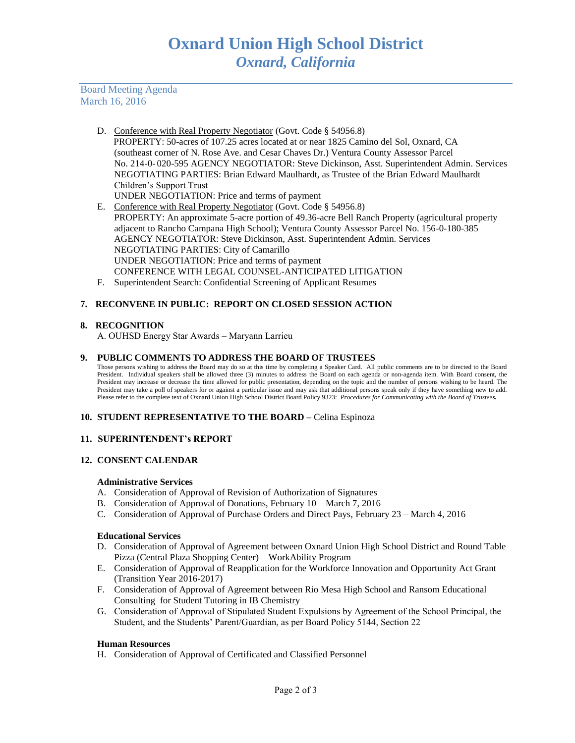Board Meeting Agenda March 16, 2016

- D. Conference with Real Property Negotiator (Govt. Code § 54956.8) PROPERTY: 50-acres of 107.25 acres located at or near 1825 Camino del Sol, Oxnard, CA (southeast corner of N. Rose Ave. and Cesar Chaves Dr.) Ventura County Assessor Parcel No. 214-0- 020-595 AGENCY NEGOTIATOR: Steve Dickinson, Asst. Superintendent Admin. Services NEGOTIATING PARTIES: Brian Edward Maulhardt, as Trustee of the Brian Edward Maulhardt Children's Support Trust UNDER NEGOTIATION: Price and terms of payment
- E. Conference with Real Property Negotiator (Govt. Code § 54956.8) PROPERTY: An approximate 5-acre portion of 49.36-acre Bell Ranch Property (agricultural property adjacent to Rancho Campana High School); Ventura County Assessor Parcel No. 156-0-180-385 AGENCY NEGOTIATOR: Steve Dickinson, Asst. Superintendent Admin. Services NEGOTIATING PARTIES: City of Camarillo UNDER NEGOTIATION: Price and terms of payment CONFERENCE WITH LEGAL COUNSEL-ANTICIPATED LITIGATION
- F. Superintendent Search: Confidential Screening of Applicant Resumes

# **7. RECONVENE IN PUBLIC: REPORT ON CLOSED SESSION ACTION**

## **8. RECOGNITION**

A. OUHSD Energy Star Awards – Maryann Larrieu

#### **9. PUBLIC COMMENTS TO ADDRESS THE BOARD OF TRUSTEES**

Those persons wishing to address the Board may do so at this time by completing a Speaker Card. All public comments are to be directed to the Board President. Individual speakers shall be allowed three (3) minutes to address the Board on each agenda or non-agenda item. With Board consent, the President may increase or decrease the time allowed for public presentation, depending on the topic and the number of persons wishing to be heard. The President may take a poll of speakers for or against a particular issue and may ask that additional persons speak only if they have something new to add. Please refer to the complete text of Oxnard Union High School District Board Policy 9323: *Procedures for Communicating with the Board of Trustees.*

#### **10. STUDENT REPRESENTATIVE TO THE BOARD –** Celina Espinoza

## **11. SUPERINTENDENT's REPORT**

#### **12. CONSENT CALENDAR**

#### **Administrative Services**

- A. Consideration of Approval of Revision of Authorization of Signatures
- B. Consideration of Approval of Donations, February 10 March 7, 2016
- C. Consideration of Approval of Purchase Orders and Direct Pays, February 23 March 4, 2016

#### **Educational Services**

- D. Consideration of Approval of Agreement between Oxnard Union High School District and Round Table Pizza (Central Plaza Shopping Center) – WorkAbility Program
- E. Consideration of Approval of Reapplication for the Workforce Innovation and Opportunity Act Grant (Transition Year 2016-2017)
- F. Consideration of Approval of Agreement between Rio Mesa High School and Ransom Educational Consulting for Student Tutoring in IB Chemistry
- G. Consideration of Approval of Stipulated Student Expulsions by Agreement of the School Principal, the Student, and the Students' Parent/Guardian, as per Board Policy 5144, Section 22

#### **Human Resources**

H. Consideration of Approval of Certificated and Classified Personnel